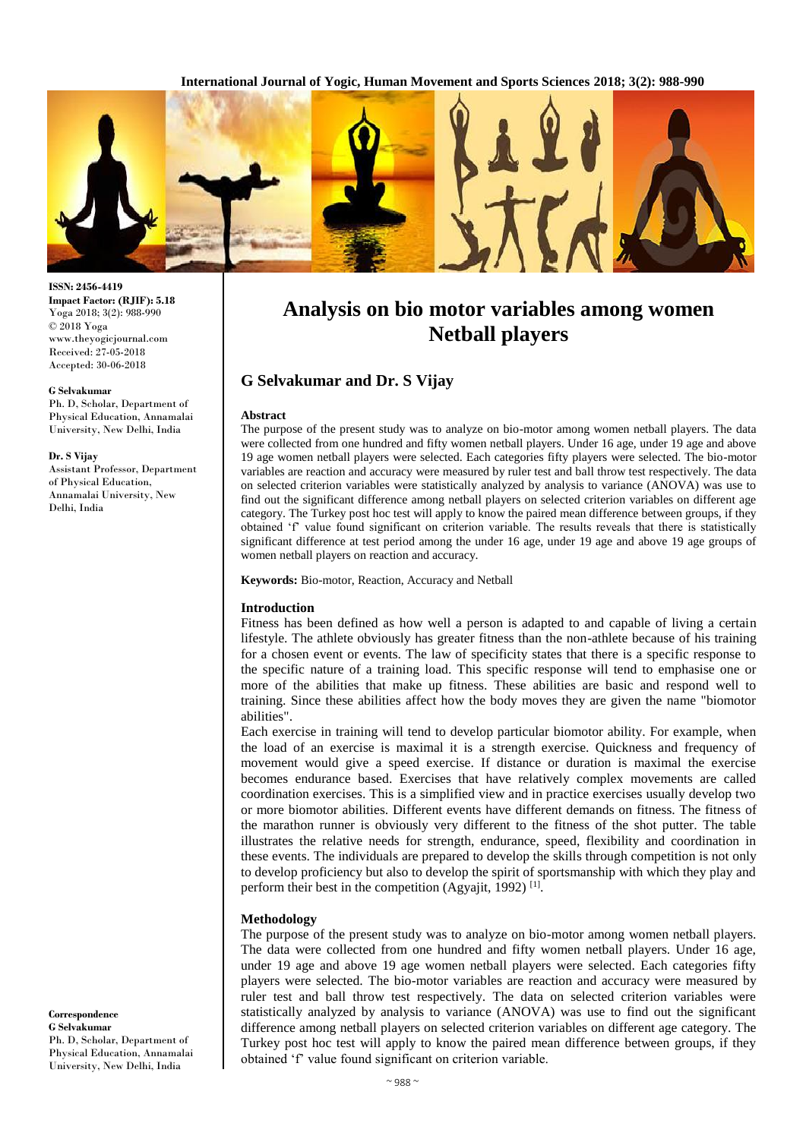**International Journal of Yogic, Human Movement and Sports Sciences 2018; 3(2): 988-990**



# **Analysis on bio motor variables among women Netball players**

# **G Selvakumar and Dr. S Vijay**

### **Abstract**

The purpose of the present study was to analyze on bio-motor among women netball players. The data were collected from one hundred and fifty women netball players. Under 16 age, under 19 age and above 19 age women netball players were selected. Each categories fifty players were selected. The bio-motor variables are reaction and accuracy were measured by ruler test and ball throw test respectively. The data on selected criterion variables were statistically analyzed by analysis to variance (ANOVA) was use to find out the significant difference among netball players on selected criterion variables on different age category. The Turkey post hoc test will apply to know the paired mean difference between groups, if they obtained 'f' value found significant on criterion variable. The results reveals that there is statistically significant difference at test period among the under 16 age, under 19 age and above 19 age groups of women netball players on reaction and accuracy.

#### **Keywords:** Bio-motor, Reaction, Accuracy and Netball

## **Introduction**

Fitness has been defined as how well a person is adapted to and capable of living a certain lifestyle. The athlete obviously has greater fitness than the non-athlete because of his training for a chosen event or events. The law of specificity states that there is a specific response to the specific nature of a training load. This specific response will tend to emphasise one or more of the abilities that make up fitness. These abilities are basic and respond well to training. Since these abilities affect how the body moves they are given the name "biomotor abilities".

Each exercise in training will tend to develop particular biomotor ability. For example, when the load of an exercise is maximal it is a strength exercise. Quickness and frequency of movement would give a speed exercise. If distance or duration is maximal the exercise becomes endurance based. Exercises that have relatively complex movements are called coordination exercises. This is a simplified view and in practice exercises usually develop two or more biomotor abilities. Different events have different demands on fitness. The fitness of the marathon runner is obviously very different to the fitness of the shot putter. The table illustrates the relative needs for strength, endurance, speed, flexibility and coordination in these events. The individuals are prepared to develop the skills through competition is not only to develop proficiency but also to develop the spirit of sportsmanship with which they play and perform their best in the competition (Agyajit, 1992)<sup>[1]</sup>.

## **Methodology**

The purpose of the present study was to analyze on bio-motor among women netball players. The data were collected from one hundred and fifty women netball players. Under 16 age, under 19 age and above 19 age women netball players were selected. Each categories fifty players were selected. The bio-motor variables are reaction and accuracy were measured by ruler test and ball throw test respectively. The data on selected criterion variables were statistically analyzed by analysis to variance (ANOVA) was use to find out the significant difference among netball players on selected criterion variables on different age category. The Turkey post hoc test will apply to know the paired mean difference between groups, if they obtained 'f' value found significant on criterion variable.

**ISSN: 2456-4419 Impact Factor: (RJIF): 5.18** Yoga 2018; 3(2): 988-990 © 2018 Yoga www.theyogicjournal.com Received: 27-05-2018 Accepted: 30-06-2018

#### **G Selvakumar**

Ph. D, Scholar, Department of Physical Education, Annamalai University, New Delhi, India

#### **Dr. S Vijay**

Assistant Professor, Department of Physical Education, Annamalai University, New Delhi, India

**Correspondence G Selvakumar** Ph. D, Scholar, Department of Physical Education, Annamalai University, New Delhi, India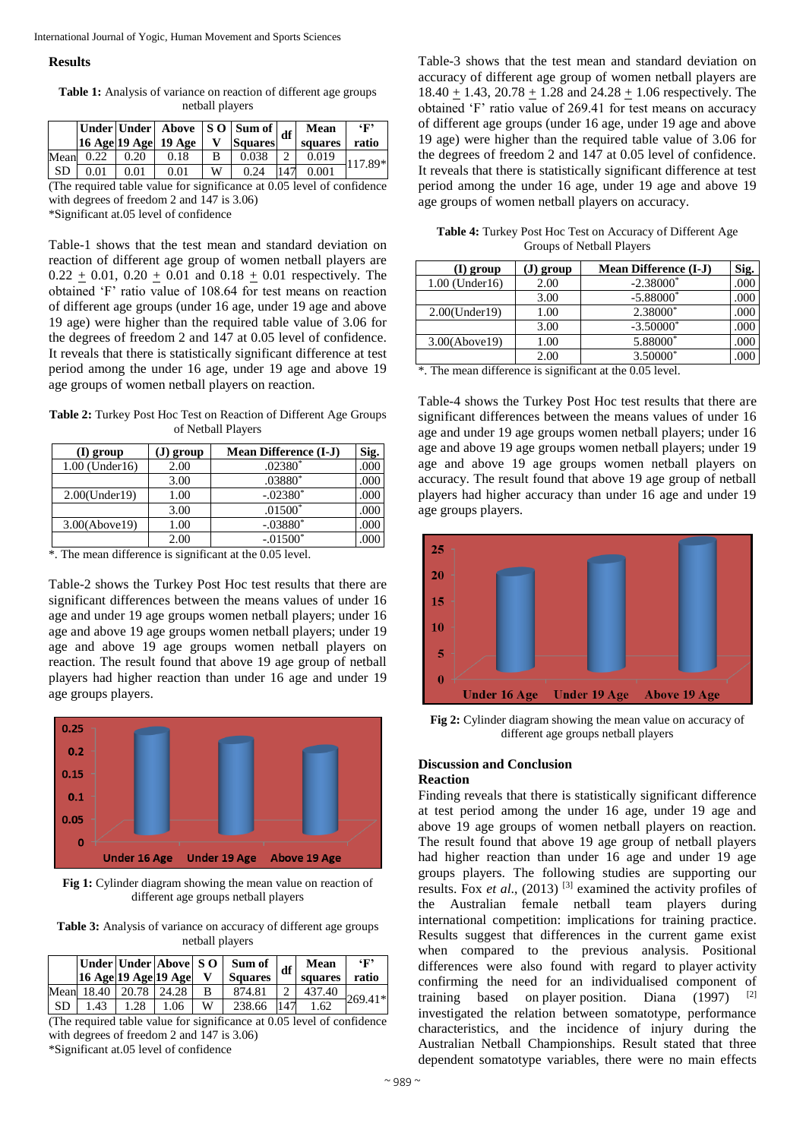#### **Results**

**Table 1:** Analysis of variance on reaction of different age groups netball players

|        |      |            | Under   Under   Above $\left  \text{S}_2 \right $ Sum of $\left  \text{df} \right $<br>16 Age 19 Age 19 Age |         | <b>Squares</b> | Mean<br>squares | $\mathbf{F}$<br>ratio |
|--------|------|------------|-------------------------------------------------------------------------------------------------------------|---------|----------------|-----------------|-----------------------|
| Mean   | 0.22 | 0.20       | 0.18                                                                                                        |         | 0.038          | 0.019           | 117.89*               |
| SD     | 0.01 | $\rm 0.01$ | 0.01                                                                                                        | W       | 0.24           | 0.001           |                       |
| $\sim$ |      | .          |                                                                                                             | $\cdot$ | .              |                 | $\sim$                |

(The required table value for significance at 0.05 level of confidence with degrees of freedom 2 and 147 is 3.06)

\*Significant at.05 level of confidence

Table-1 shows that the test mean and standard deviation on reaction of different age group of women netball players are  $0.22 + 0.01$ ,  $0.20 + 0.01$  and  $0.18 + 0.01$  respectively. The obtained 'F' ratio value of 108.64 for test means on reaction of different age groups (under 16 age, under 19 age and above 19 age) were higher than the required table value of 3.06 for the degrees of freedom 2 and 147 at 0.05 level of confidence. It reveals that there is statistically significant difference at test period among the under 16 age, under 19 age and above 19 age groups of women netball players on reaction.

**Table 2:** Turkey Post Hoc Test on Reaction of Different Age Groups of Netball Players

| (1) group            | (J) group | <b>Mean Difference (I-J)</b> | Sig. |
|----------------------|-----------|------------------------------|------|
| $1.00$ (Under $16$ ) | 2.00      | $.02380*$                    | .000 |
|                      | 3.00      | $.03880*$                    | .000 |
| 2.00(Under19)        | 1.00      | $-.02380*$                   |      |
|                      | 3.00      | $.01500*$                    | .000 |
| 3.00(Above19)        | 1.00      | $-.03880*$                   | .000 |
|                      | 2.00      | $-.01500*$                   |      |

\*. The mean difference is significant at the 0.05 level.

Table-2 shows the Turkey Post Hoc test results that there are significant differences between the means values of under 16 age and under 19 age groups women netball players; under 16 age and above 19 age groups women netball players; under 19 age and above 19 age groups women netball players on reaction. The result found that above 19 age group of netball players had higher reaction than under 16 age and under 19 age groups players.



Fig 1: Cylinder diagram showing the mean value on reaction of different age groups netball players

**Table 3:** Analysis of variance on accuracy of different age groups netball players

|     | $16$ Age $19$ Age $19$ Age |     |      |   | Under   Under   Above   S O   Sum of<br><b>Squares</b> | df  | Mean<br>squares | $\mathbf{F}$<br>ratio |
|-----|----------------------------|-----|------|---|--------------------------------------------------------|-----|-----------------|-----------------------|
|     | Mean 18.40   20.78   24.28 |     |      |   | 874.81                                                 |     | 437.40          | 269.41*               |
| -SD | 1.43                       | .28 | 1.06 | W | 238.66                                                 | 147 | .62             |                       |

(The required table value for significance at 0.05 level of confidence with degrees of freedom 2 and 147 is 3.06)

\*Significant at.05 level of confidence

Table-3 shows that the test mean and standard deviation on accuracy of different age group of women netball players are  $18.40 \pm 1.43$ ,  $20.78 \pm 1.28$  and  $24.28 \pm 1.06$  respectively. The obtained 'F' ratio value of 269.41 for test means on accuracy of different age groups (under 16 age, under 19 age and above 19 age) were higher than the required table value of 3.06 for the degrees of freedom 2 and 147 at 0.05 level of confidence. It reveals that there is statistically significant difference at test period among the under 16 age, under 19 age and above 19 age groups of women netball players on accuracy.

**Table 4:** Turkey Post Hoc Test on Accuracy of Different Age Groups of Netball Players

| I) group             | group | <b>Mean Difference (I-J)</b> | Sig. |
|----------------------|-------|------------------------------|------|
| $1.00$ (Under $16$ ) | 2.00  | $-2.38000*$                  |      |
|                      | 3.00  | $-5.88000*$                  |      |
| 2.00(Under19)        | 1.00  | 2.38000*                     | .000 |
|                      | 3.00  | $-3.50000*$                  | .000 |
| 3.00(Above19)        | 1.00  | 5.88000*                     |      |
|                      | 2.00  | 3.50000*                     |      |

\*. The mean difference is significant at the 0.05 level.

Table-4 shows the Turkey Post Hoc test results that there are significant differences between the means values of under 16 age and under 19 age groups women netball players; under 16 age and above 19 age groups women netball players; under 19 age and above 19 age groups women netball players on accuracy. The result found that above 19 age group of netball players had higher accuracy than under 16 age and under 19 age groups players.



**Fig 2:** Cylinder diagram showing the mean value on accuracy of different age groups netball players

## **Discussion and Conclusion**

# **Reaction**

Finding reveals that there is statistically significant difference at test period among the under 16 age, under 19 age and above 19 age groups of women netball players on reaction. The result found that above 19 age group of netball players had higher reaction than under 16 age and under 19 age groups players. The following studies are supporting our results. Fox *et al*., (2013) [3] examined the activity profiles of the Australian female netball team players during international competition: implications for training practice. Results suggest that differences in the current game exist when compared to the previous analysis. Positional differences were also found with regard to player activity confirming the need for an individualised component of training based on player position. Diana  $(1997)$ <sup>[2]</sup> investigated the relation between somatotype, performance characteristics, and the incidence of injury during the Australian Netball Championships. Result stated that three dependent somatotype variables, there were no main effects